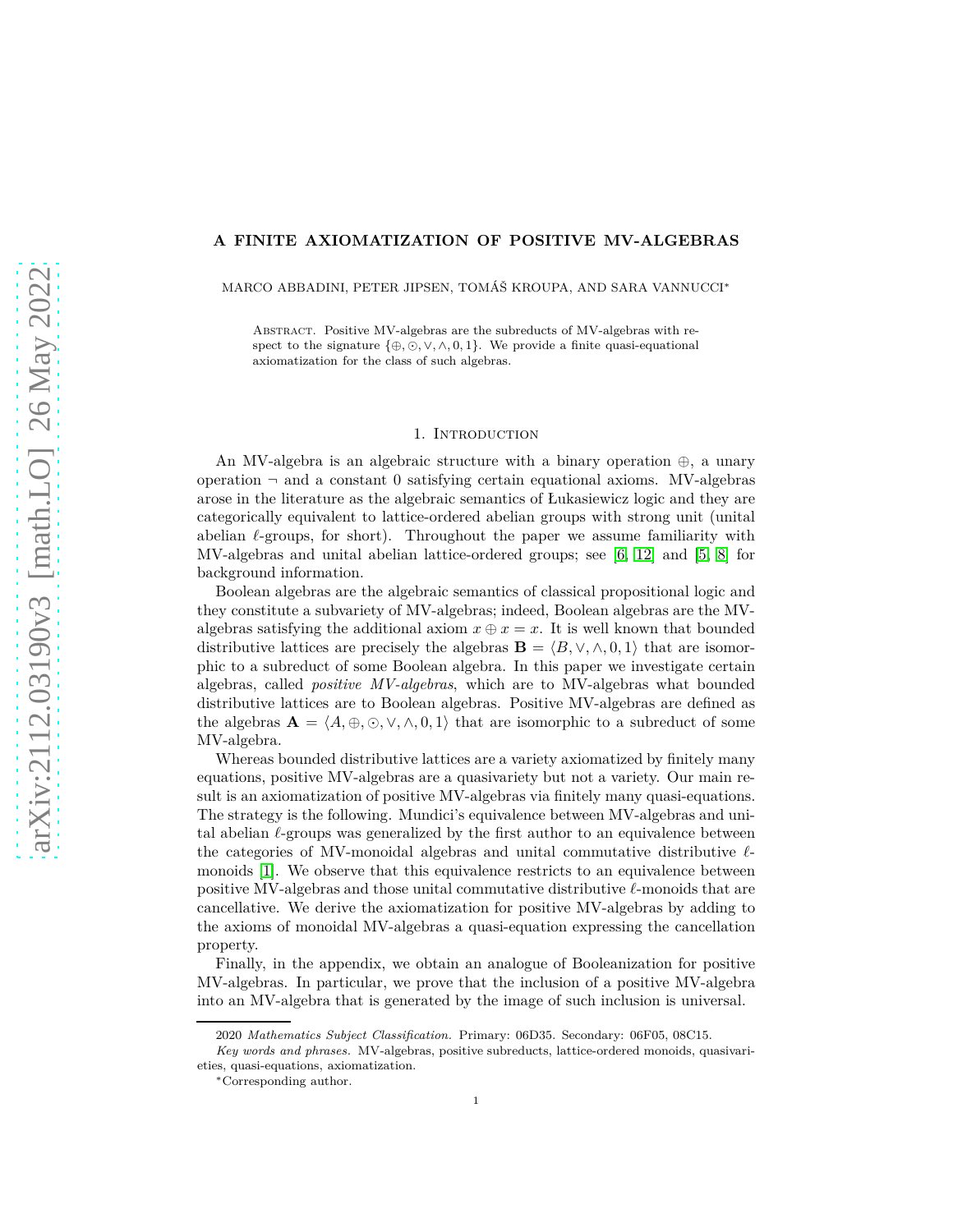## **A FINITE AXIOMATIZATION OF POSITIVE MV-ALGEBRAS**

MARCO ABBADINI, PETER JIPSEN, TOMÁŠ KROUPA, AND SARA VANNUCCI<sup>∗</sup>

Abstract. Positive MV-algebras are the subreducts of MV-algebras with respect to the signature  $\{\oplus, \odot, \vee, \wedge, 0, 1\}$ . We provide a finite quasi-equational axiomatization for the class of such algebras.

### 1. INTRODUCTION

An MV-algebra is an algebraic structure with a binary operation ⊕, a unary operation  $\neg$  and a constant 0 satisfying certain equational axioms. MV-algebras arose in the literature as the algebraic semantics of Łukasiewicz logic and they are categorically equivalent to lattice-ordered abelian groups with strong unit (unital abelian *ℓ*-groups, for short). Throughout the paper we assume familiarity with MV-algebras and unital abelian lattice-ordered groups; see [\[6,](#page-11-0) [12\]](#page-11-1) and [\[5,](#page-11-2) [8\]](#page-11-3) for background information.

Boolean algebras are the algebraic semantics of classical propositional logic and they constitute a subvariety of MV-algebras; indeed, Boolean algebras are the MValgebras satisfying the additional axiom  $x \oplus x = x$ . It is well known that bounded distributive lattices are precisely the algebras  $\mathbf{B} = \langle B, \vee, \wedge, 0, 1 \rangle$  that are isomorphic to a subreduct of some Boolean algebra. In this paper we investigate certain algebras, called *positive MV-algebras*, which are to MV-algebras what bounded distributive lattices are to Boolean algebras. Positive MV-algebras are defined as the algebras  $\mathbf{A} = \langle A, \oplus, \odot, \vee, \wedge, 0, 1 \rangle$  that are isomorphic to a subreduct of some MV-algebra.

Whereas bounded distributive lattices are a variety axiomatized by finitely many equations, positive MV-algebras are a quasivariety but not a variety. Our main result is an axiomatization of positive MV-algebras via finitely many quasi-equations. The strategy is the following. Mundici's equivalence between MV-algebras and unital abelian *ℓ*-groups was generalized by the first author to an equivalence between the categories of MV-monoidal algebras and unital commutative distributive *ℓ*monoids [\[1\]](#page-11-4). We observe that this equivalence restricts to an equivalence between positive MV-algebras and those unital commutative distributive *ℓ*-monoids that are cancellative. We derive the axiomatization for positive MV-algebras by adding to the axioms of monoidal MV-algebras a quasi-equation expressing the cancellation property.

Finally, in the appendix, we obtain an analogue of Booleanization for positive MV-algebras. In particular, we prove that the inclusion of a positive MV-algebra into an MV-algebra that is generated by the image of such inclusion is universal.

<sup>2020</sup> *Mathematics Subject Classification.* Primary: 06D35. Secondary: 06F05, 08C15.

*Key words and phrases.* MV-algebras, positive subreducts, lattice-ordered monoids, quasivarieties, quasi-equations, axiomatization.

<sup>∗</sup>Corresponding author.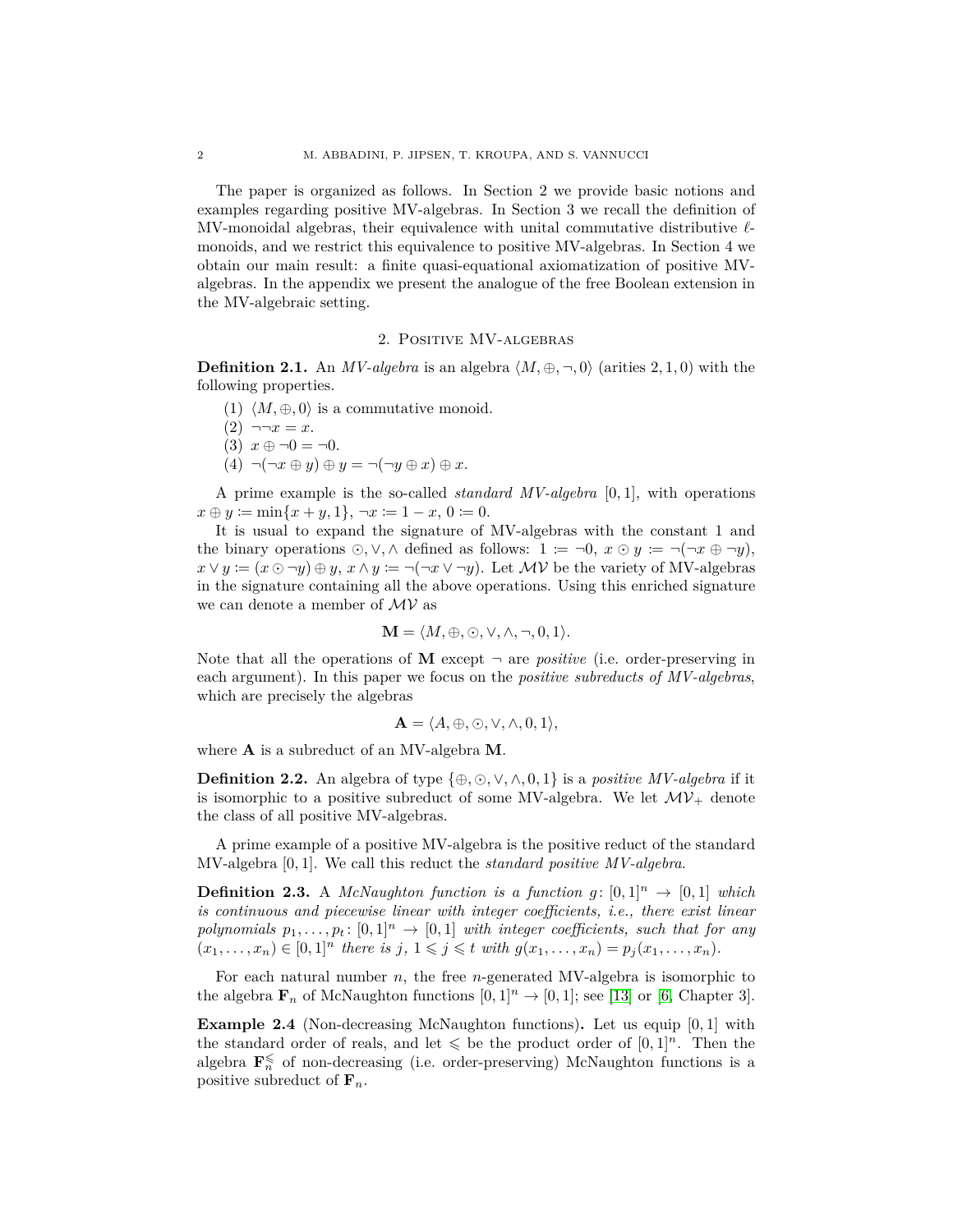The paper is organized as follows. In Section 2 we provide basic notions and examples regarding positive MV-algebras. In Section 3 we recall the definition of MV-monoidal algebras, their equivalence with unital commutative distributive *ℓ*monoids, and we restrict this equivalence to positive MV-algebras. In Section 4 we obtain our main result: a finite quasi-equational axiomatization of positive MValgebras. In the appendix we present the analogue of the free Boolean extension in the MV-algebraic setting.

# 2. Positive MV-algebras

**Definition 2.1.** An *MV-algebra* is an algebra  $\langle M, \oplus, \neg, 0 \rangle$  (arities 2, 1, 0) with the following properties.

- (1)  $\langle M, \oplus, 0 \rangle$  is a commutative monoid.
- $(2) \neg \neg x = x.$
- (3)  $x \oplus \neg 0 = \neg 0$ .
- $(4) \neg(\neg x \oplus y) \oplus y = \neg(\neg y \oplus x) \oplus x.$

A prime example is the so-called *standard MV-algebra* [0*,* 1], with operations  $x \oplus y := \min\{x + y, 1\}, \ \neg x := 1 - x, \ 0 := 0.$ 

It is usual to expand the signature of MV-algebras with the constant 1 and the binary operations  $\odot$ ,  $\vee$ ,  $\wedge$  defined as follows:  $1 := \neg 0$ ,  $x \odot y := \neg(\neg x \oplus \neg y)$ ,  $x \vee y := (x \odot \neg y) \oplus y$ ,  $x \wedge y := \neg(\neg x \vee \neg y)$ . Let *MV* be the variety of MV-algebras in the signature containing all the above operations. Using this enriched signature we can denote a member of  $\mathcal{MV}$  as

$$
\mathbf{M} = \langle M, \oplus, \odot, \vee, \wedge, \neg, 0, 1 \rangle.
$$

Note that all the operations of  $M$  except  $\neg$  are *positive* (i.e. order-preserving in each argument). In this paper we focus on the *positive subreducts of MV-algebras*, which are precisely the algebras

$$
\mathbf{A} = \langle A, \oplus, \odot, \vee, \wedge, 0, 1 \rangle,
$$

where **A** is a subreduct of an MV-algebra **M**.

**Definition 2.2.** An algebra of type  $\{\oplus, \odot, \vee, \wedge, 0, 1\}$  is a *positive MV-algebra* if it is isomorphic to a positive subreduct of some MV-algebra. We let  $\mathcal{MV}_+$  denote the class of all positive MV-algebras.

A prime example of a positive MV-algebra is the positive reduct of the standard MV-algebra [0*,* 1]. We call this reduct the *standard positive MV-algebra*.

**Definition 2.3.** A *McNaughton function is a function*  $g: [0,1]^n \rightarrow [0,1]$  *which is continuous and piecewise linear with integer coefficients, i.e., there exist linear polynomials*  $p_1, \ldots, p_t$ :  $[0, 1]^n \rightarrow [0, 1]$  *with integer coefficients, such that for any*  $(x_1,...,x_n) \in [0,1]^n$  there is j,  $1 \leq j \leq t$  with  $g(x_1,...,x_n) = p_j(x_1,...,x_n)$ .

<span id="page-1-0"></span>For each natural number *n*, the free *n*-generated MV-algebra is isomorphic to the algebra  $\mathbf{F}_n$  of McNaughton functions  $[0,1]^n \to [0,1]$ ; see [\[13\]](#page-11-5) or [\[6,](#page-11-0) Chapter 3].

**Example 2.4** (Non-decreasing McNaughton functions)**.** Let us equip [0*,* 1] with the standard order of reals, and let  $\leq$  be the product order of  $[0, 1]^n$ . Then the algebra  $\mathbf{F}_n^{\leq}$  of non-decreasing (i.e. order-preserving) McNaughton functions is a positive subreduct of  $\mathbf{F}_n$ .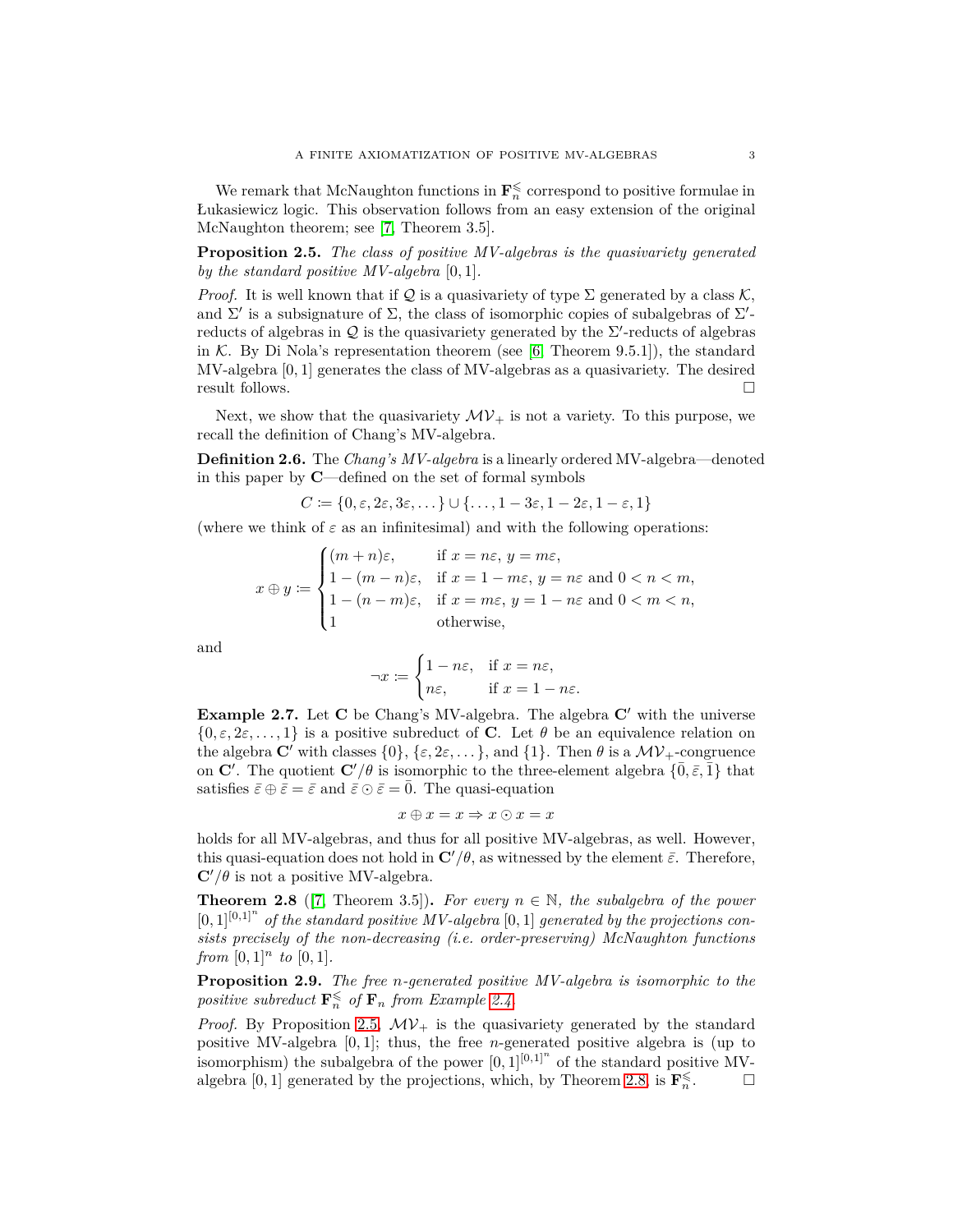We remark that McNaughton functions in  $\mathbf{F}_n^{\leq}$  correspond to positive formulae in Łukasiewicz logic. This observation follows from an easy extension of the original McNaughton theorem; see [\[7,](#page-11-6) Theorem 3.5].

<span id="page-2-0"></span>**Proposition 2.5.** *The class of positive MV-algebras is the quasivariety generated by the standard positive MV-algebra* [0*,* 1]*.*

*Proof.* It is well known that if Q is a quasivariety of type  $\Sigma$  generated by a class K, and  $\Sigma'$  is a subsignature of  $\Sigma$ , the class of isomorphic copies of subalgebras of  $\Sigma'$ reducts of algebras in  $\mathcal Q$  is the quasivariety generated by the  $\Sigma'$ -reducts of algebras in K. By Di Nola's representation theorem (see  $[6,$  Theorem 9.5.1]), the standard MV-algebra [0*,* 1] generates the class of MV-algebras as a quasivariety. The desired result follows.

Next, we show that the quasivariety  $\mathcal{MV}_+$  is not a variety. To this purpose, we recall the definition of Chang's MV-algebra.

**Definition 2.6.** The *Chang's MV-algebra* is a linearly ordered MV-algebra—denoted in this paper by **C**—defined on the set of formal symbols

 $C \coloneqq \{0, \varepsilon, 2\varepsilon, 3\varepsilon, \dots\} \cup \{\dots, 1-3\varepsilon, 1-2\varepsilon, 1-\varepsilon, 1\}$ 

(where we think of  $\varepsilon$  as an infinitesimal) and with the following operations:

$$
x \oplus y \coloneqq \begin{cases} (m+n)\varepsilon, & \text{if } x = n\varepsilon, y = m\varepsilon, \\ 1 - (m-n)\varepsilon, & \text{if } x = 1 - m\varepsilon, y = n\varepsilon \text{ and } 0 < n < m, \\ 1 - (n-m)\varepsilon, & \text{if } x = m\varepsilon, y = 1 - n\varepsilon \text{ and } 0 < m < n, \\ 1 & \text{otherwise}, \end{cases}
$$

and

$$
\neg x := \begin{cases} 1 - n\varepsilon, & \text{if } x = n\varepsilon, \\ n\varepsilon, & \text{if } x = 1 - n\varepsilon. \end{cases}
$$

**Example 2.7.** Let **C** be Chang's MV-algebra. The algebra **C**′ with the universe  $\{0, \varepsilon, 2\varepsilon, \ldots, 1\}$  is a positive subreduct of **C**. Let  $\theta$  be an equivalence relation on the algebra  $\mathbf{C}'$  with classes  $\{0\}$ ,  $\{\varepsilon, 2\varepsilon, \dots\}$ , and  $\{1\}$ . Then  $\theta$  is a  $\mathcal{MV}_+$ -congruence on **C**<sup> $\prime$ </sup>. The quotient **C**<sup> $\prime$ </sup>/ $\theta$  is isomorphic to the three-element algebra  $\{\bar{0}, \bar{\varepsilon}, \bar{1}\}$  that satisfies  $\bar{\varepsilon} \oplus \bar{\varepsilon} = \bar{\varepsilon}$  and  $\bar{\varepsilon} \odot \bar{\varepsilon} = 0$ . The quasi-equation

$$
x \oplus x = x \Rightarrow x \odot x = x
$$

holds for all MV-algebras, and thus for all positive MV-algebras, as well. However, this quasi-equation does not hold in  $\mathbf{C}'/\theta$ , as witnessed by the element  $\bar{\varepsilon}$ . Therefore,  $\mathbf{C}'/\theta$  is not a positive MV-algebra.

<span id="page-2-1"></span>**Theorem 2.8** ([\[7,](#page-11-6) Theorem 3.5]). For every  $n \in \mathbb{N}$ , the subalgebra of the power  $[0,1]^{[0,1]^n}$  of the standard positive MV-algebra  $[0,1]$  generated by the projections con*sists precisely of the non-decreasing (i.e. order-preserving) McNaughton functions from*  $[0,1]^n$  *to*  $[0,1]$ *.* 

**Proposition 2.9.** *The free n-generated positive MV-algebra is isomorphic to the positive subreduct*  $\mathbf{F}_n^{\leq}$  *of*  $\mathbf{F}_n$  *from Example [2.4.](#page-1-0)* 

*Proof.* By Proposition [2.5,](#page-2-0)  $MV_+$  is the quasivariety generated by the standard positive MV-algebra [0*,* 1]; thus, the free *n*-generated positive algebra is (up to isomorphism) the subalgebra of the power  $[0,1]^{[0,1]^n}$  of the standard positive MV-algebra [0, 1] generated by the projections, which, by Theorem [2.8,](#page-2-1) is  $\mathbf{F}_n^{\leq}$ .  $\Box$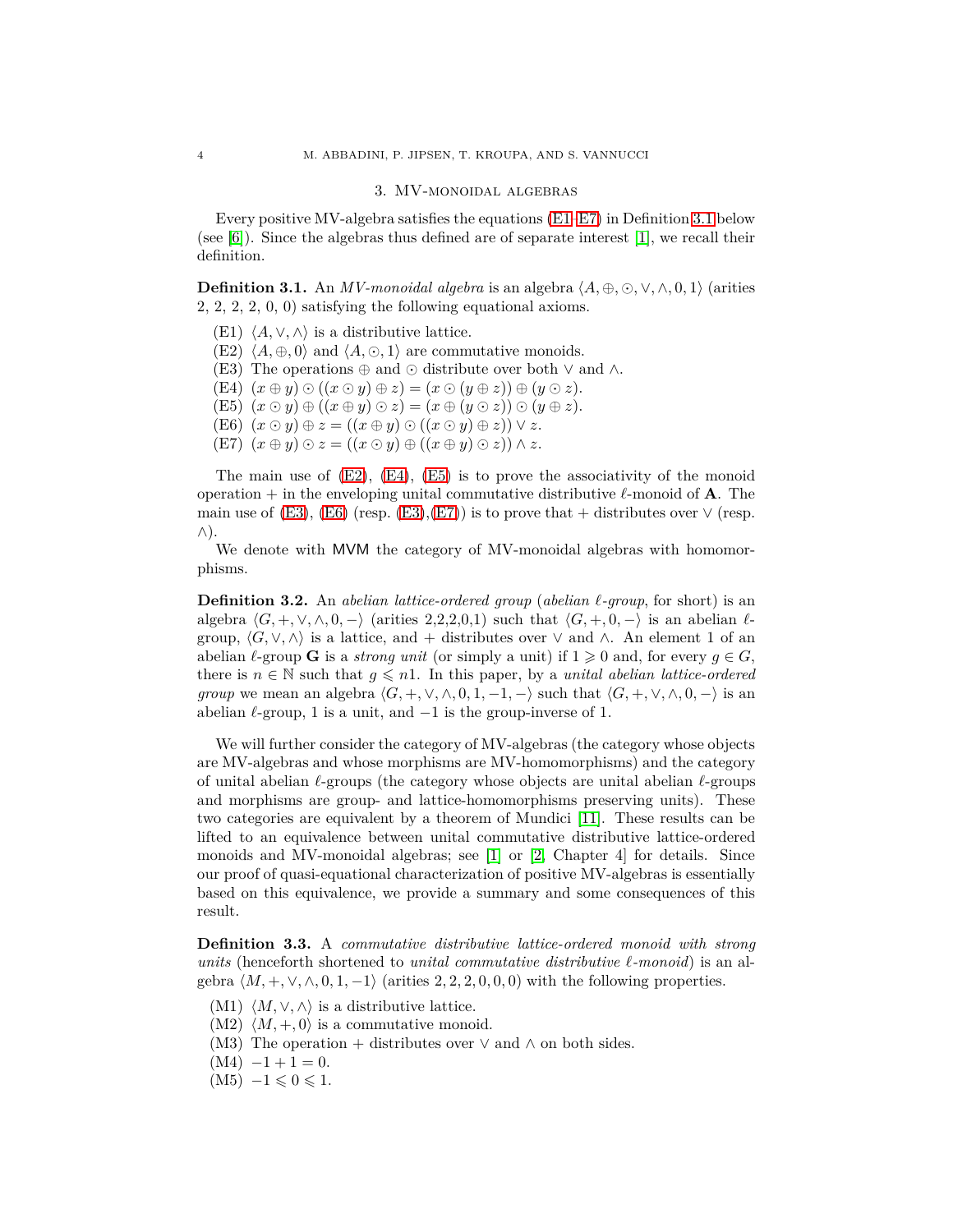#### 3. MV-monoidal algebras

<span id="page-3-2"></span>Every positive MV-algebra satisfies the equations [\(E1–](#page-3-0)[E7\)](#page-3-1) in Definition [3.1](#page-3-2) below (see [\[6\]](#page-11-0)). Since the algebras thus defined are of separate interest [\[1\]](#page-11-4), we recall their definition.

**Definition 3.1.** An *MV-monoidal algebra* is an algebra  $\langle A, \oplus, \odot, \vee, \wedge, 0, 1 \rangle$  (arities 2, 2, 2, 2, 0, 0) satisfying the following equational axioms.

- <span id="page-3-3"></span><span id="page-3-0"></span>(E1)  $\langle A, \vee, \wedge \rangle$  is a distributive lattice.
- <span id="page-3-6"></span>(E2)  $\langle A, \oplus, 0 \rangle$  and  $\langle A, \odot, 1 \rangle$  are commutative monoids.
- <span id="page-3-4"></span>(E3) The operations  $\oplus$  and  $\odot$  distribute over both  $\vee$  and  $\wedge$ .
- <span id="page-3-5"></span> $(E4)$   $(x \oplus y) \odot ((x \odot y) \oplus z) = (x \odot (y \oplus z)) \oplus (y \odot z).$
- <span id="page-3-7"></span>(E5)  $(x \odot y) \oplus ((x \oplus y) \odot z) = (x \oplus (y \odot z)) \odot (y \oplus z).$
- <span id="page-3-1"></span> $(E6)$   $(x \odot y) \oplus z = ((x \oplus y) \odot ((x \odot y) \oplus z)) \vee z.$
- $(E7)$   $(x \oplus y) \odot z = ((x \odot y) \oplus ((x \oplus y) \odot z)) \wedge z.$

The main use of  $(E2)$ ,  $(E4)$ ,  $(E5)$  is to prove the associativity of the monoid operation + in the enveloping unital commutative distributive *ℓ*-monoid of **A**. The main use of [\(E3\)](#page-3-6), [\(E6\)](#page-3-7) (resp. [\(E3\)](#page-3-6), [\(E7\)](#page-3-1)) is to prove that + distributes over  $\vee$  (resp. ∧).

We denote with MVM the category of MV-monoidal algebras with homomorphisms.

**Definition 3.2.** An *abelian lattice-ordered group* (*abelian ℓ-group*, for short) is an algebra  $\langle G, +, \vee, \wedge, 0, - \rangle$  (arities 2,2,2,0,1) such that  $\langle G, +, 0, - \rangle$  is an abelian  $\ell$ group,  $\langle G, \vee, \wedge \rangle$  is a lattice, and + distributes over  $\vee$  and  $\wedge$ . An element 1 of an abelian  $\ell$ -group **G** is a *strong unit* (or simply a unit) if  $1 \geq 0$  and, for every  $g \in G$ , there is  $n \in \mathbb{N}$  such that  $g \leq n!$ . In this paper, by a *unital abelian lattice-ordered group* we mean an algebra  $\langle G, +, \vee, \wedge, 0, 1, -1, - \rangle$  such that  $\langle G, +, \vee, \wedge, 0, - \rangle$  is an abelian  $\ell$ -group, 1 is a unit, and  $-1$  is the group-inverse of 1.

We will further consider the category of MV-algebras (the category whose objects are MV-algebras and whose morphisms are MV-homomorphisms) and the category of unital abelian *ℓ*-groups (the category whose objects are unital abelian *ℓ*-groups and morphisms are group- and lattice-homomorphisms preserving units). These two categories are equivalent by a theorem of Mundici [\[11\]](#page-11-7). These results can be lifted to an equivalence between unital commutative distributive lattice-ordered monoids and MV-monoidal algebras; see [\[1\]](#page-11-4) or [\[2,](#page-11-8) Chapter 4] for details. Since our proof of quasi-equational characterization of positive MV-algebras is essentially based on this equivalence, we provide a summary and some consequences of this result.

**Definition 3.3.** A *commutative distributive lattice-ordered monoid with strong units* (henceforth shortened to *unital commutative distributive ℓ-monoid*) is an algebra  $\langle M, +, \vee, \wedge, 0, 1, -1 \rangle$  (arities 2, 2, 2, 0, 0, 0) with the following properties.

- (M1)  $\langle M, \vee, \wedge \rangle$  is a distributive lattice.
- $(M2)$   $\langle M, +, 0 \rangle$  is a commutative monoid.
- (M3) The operation + distributes over  $\vee$  and  $\wedge$  on both sides.
- $(M4) -1 + 1 = 0.$
- $(M5)$   $-1 \leqslant 0 \leqslant 1$ .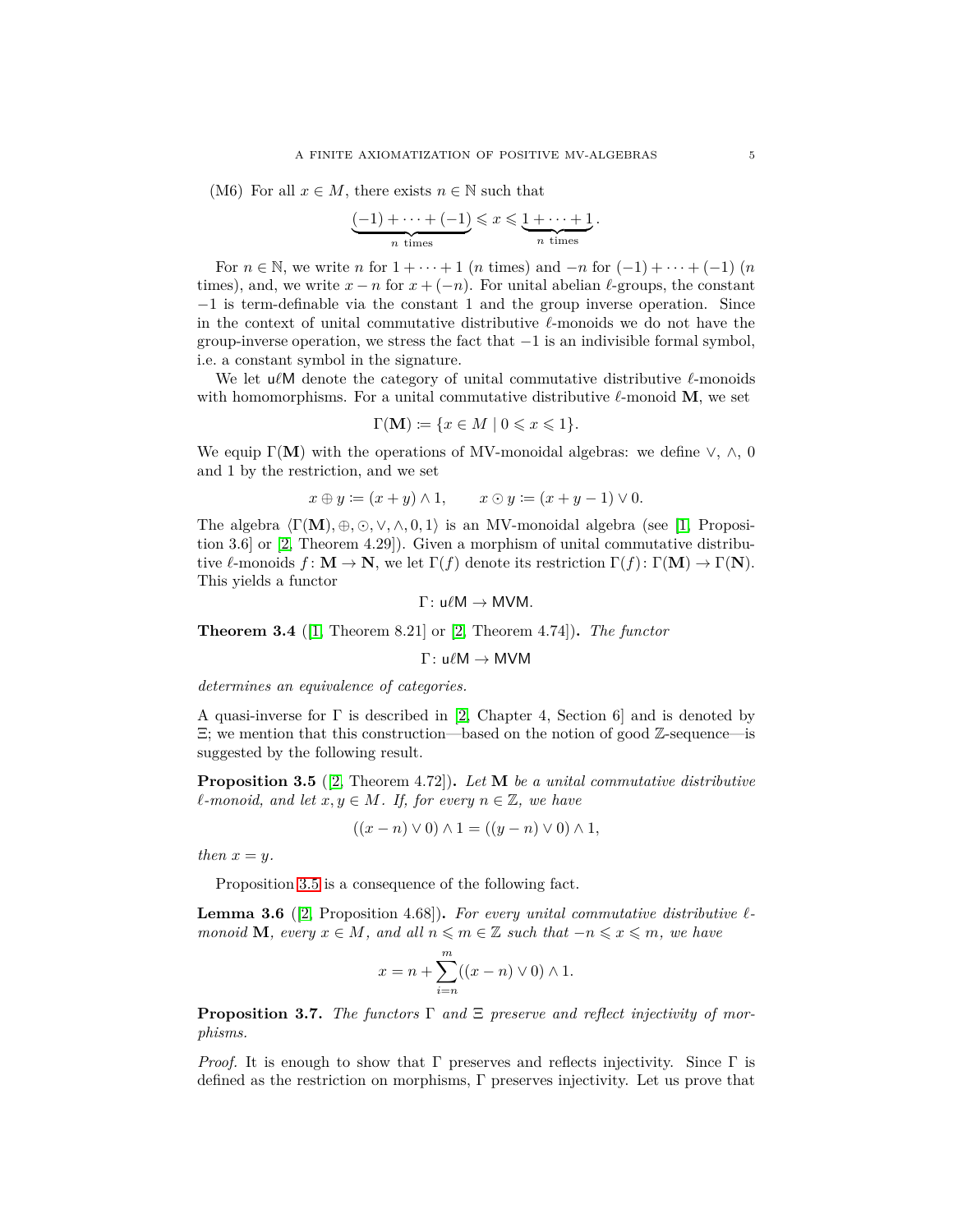<span id="page-4-2"></span>(M6) For all  $x \in M$ , there exists  $n \in \mathbb{N}$  such that

$$
\underbrace{(-1) + \cdots + (-1)}_{n \text{ times}} \leqslant x \leqslant \underbrace{1 + \cdots + 1}_{n \text{ times}}.
$$

For  $n \in \mathbb{N}$ , we write *n* for  $1 + \cdots + 1$  (*n* times) and  $-n$  for  $(-1) + \cdots + (-1)$  (*n* times), and, we write  $x - n$  for  $x + (-n)$ . For unital abelian  $\ell$ -groups, the constant −1 is term-definable via the constant 1 and the group inverse operation. Since in the context of unital commutative distributive *ℓ*-monoids we do not have the group-inverse operation, we stress the fact that  $-1$  is an indivisible formal symbol, i.e. a constant symbol in the signature.

We let u*ℓ*M denote the category of unital commutative distributive *ℓ*-monoids with homomorphisms. For a unital commutative distributive  $\ell$ -monoid **M**, we set

$$
\Gamma(\mathbf{M}) \coloneqq \{ x \in M \mid 0 \leqslant x \leqslant 1 \}.
$$

We equip  $\Gamma(M)$  with the operations of MV-monoidal algebras: we define  $\vee$ ,  $\wedge$ , 0 and 1 by the restriction, and we set

$$
x \oplus y \coloneqq (x+y) \land 1, \qquad x \odot y \coloneqq (x+y-1) \lor 0.
$$

The algebra  $\langle \Gamma(\mathbf{M}), \oplus, \odot, \vee, \wedge, 0, 1 \rangle$  is an MV-monoidal algebra (see [\[1,](#page-11-4) Proposition 3.6] or [\[2,](#page-11-8) Theorem 4.29]). Given a morphism of unital commutative distributive *ℓ*-monoids *f* : **M** → **N**, we let Γ(*f*) denote its restriction Γ(*f*): Γ(**M**) → Γ(**N**). This yields a functor

$$
\Gamma\colon u\ell M\to MVM.
$$

<span id="page-4-4"></span>**Theorem 3.4** ([\[1,](#page-11-4) Theorem 8.21] or [\[2,](#page-11-8) Theorem 4.74])**.** *The functor*

Γ: u*ℓ*M → MVM

*determines an equivalence of categories.*

A quasi-inverse for  $\Gamma$  is described in [\[2,](#page-11-8) Chapter 4, Section 6] and is denoted by  $\Xi$ ; we mention that this construction—based on the notion of good  $\mathbb{Z}$ -sequence—is suggested by the following result.

<span id="page-4-0"></span>**Proposition 3.5** ([\[2,](#page-11-8) Theorem 4.72])**.** *Let* **M** *be a unital commutative distributive*  $\ell$ *-monoid, and let*  $x, y \in M$ *. If, for every*  $n \in \mathbb{Z}$ *, we have* 

$$
((x - n) \vee 0) \wedge 1 = ((y - n) \vee 0) \wedge 1,
$$

*then*  $x = y$ *.* 

<span id="page-4-3"></span>Proposition [3.5](#page-4-0) is a consequence of the following fact.

**Lemma 3.6** ([\[2,](#page-11-8) Proposition 4.68])**.** *For every unital commutative distributive ℓmonoid* **M***, every*  $x \in M$ *, and all*  $n \leq m \in \mathbb{Z}$  *such that*  $-n \leq x \leq m$ *, we have* 

$$
x = n + \sum_{i=n}^{m} ((x - n) \vee 0) \wedge 1.
$$

<span id="page-4-1"></span>**Proposition 3.7.** *The functors* Γ *and* Ξ *preserve and reflect injectivity of morphisms.*

*Proof.* It is enough to show that  $\Gamma$  preserves and reflects injectivity. Since  $\Gamma$  is defined as the restriction on morphisms, Γ preserves injectivity. Let us prove that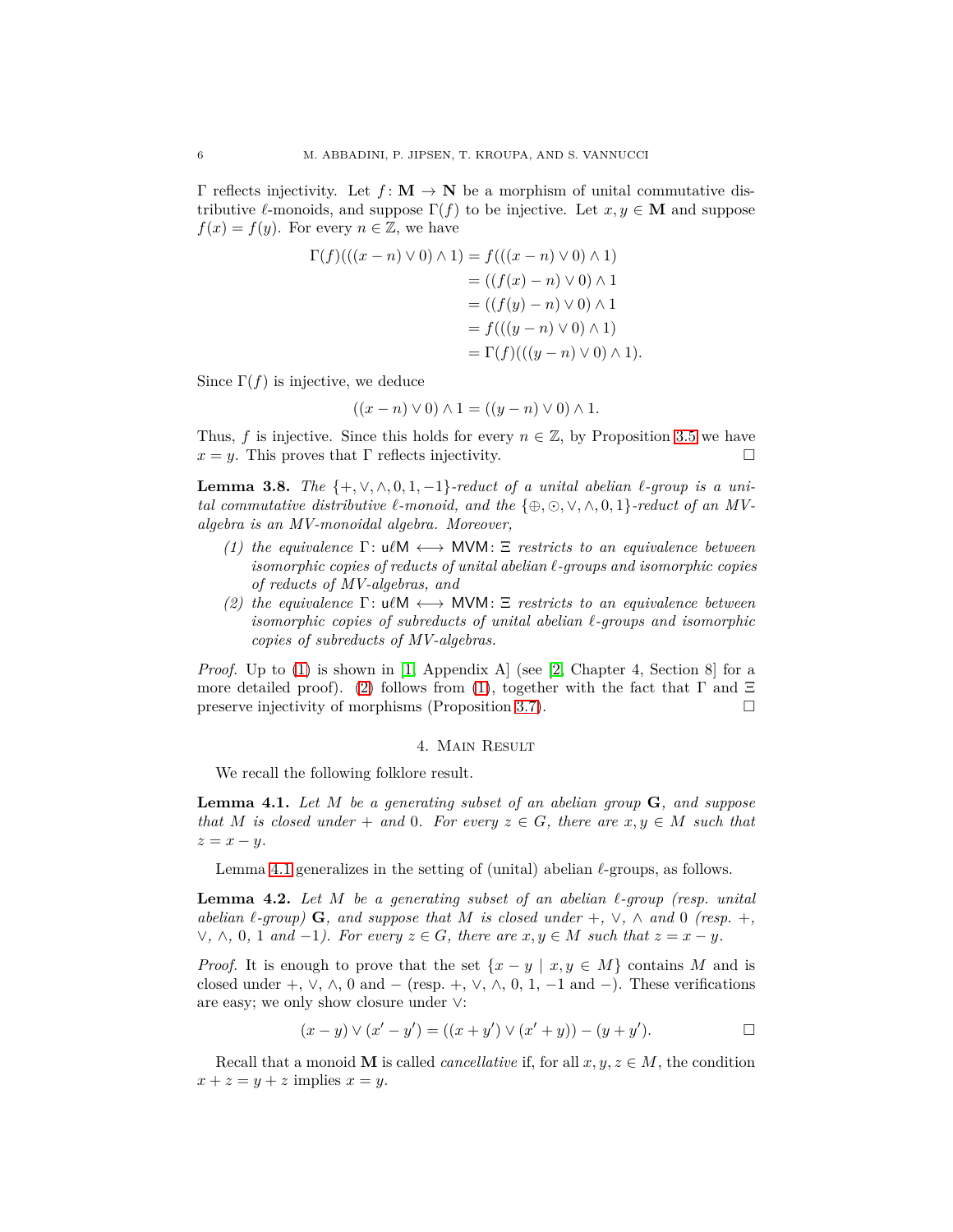Γ reflects injectivity. Let *f* : **M** → **N** be a morphism of unital commutative distributive  $\ell$ -monoids, and suppose  $\Gamma(f)$  to be injective. Let  $x, y \in M$  and suppose  $f(x) = f(y)$ . For every  $n \in \mathbb{Z}$ , we have

$$
\Gamma(f)(( (x - n) \vee 0) \wedge 1) = f(((x - n) \vee 0) \wedge 1)
$$
  
= ((f(x) - n) \vee 0) \wedge 1  
= ((f(y) - n) \vee 0) \wedge 1  
= f(((y - n) \vee 0) \wedge 1)  
= \Gamma(f)(( (y - n) \vee 0) \wedge 1).

Since  $\Gamma(f)$  is injective, we deduce

$$
((x - n) \vee 0) \wedge 1 = ((y - n) \vee 0) \wedge 1.
$$

Thus, *f* is injective. Since this holds for every  $n \in \mathbb{Z}$ , by Proposition [3.5](#page-4-0) we have  $x = y$ . This proves that Γ reflects injectivity.

<span id="page-5-4"></span>**Lemma 3.8.** *The*  $\{+, \vee, \wedge, 0, 1, -1\}$ *-reduct of a unital abelian*  $\ell$ *-group is a unital commutative distributive*  $\ell$ -monoid, and the  $\{\oplus, \odot, \vee, \wedge, 0, 1\}$ -reduct of an MV*algebra is an MV-monoidal algebra. Moreover,*

- <span id="page-5-0"></span>*(1) the equivalence* Γ: u*ℓ*M ←→ MVM: Ξ *restricts to an equivalence between isomorphic copies of reducts of unital abelian ℓ-groups and isomorphic copies of reducts of MV-algebras, and*
- <span id="page-5-1"></span>*(2) the equivalence* Γ: u*ℓ*M ←→ MVM: Ξ *restricts to an equivalence between isomorphic copies of subreducts of unital abelian ℓ-groups and isomorphic copies of subreducts of MV-algebras.*

*Proof.* Up to [\(1\)](#page-5-0) is shown in [\[1,](#page-11-4) Appendix A] (see [\[2,](#page-11-8) Chapter 4, Section 8] for a more detailed proof). [\(2\)](#page-5-1) follows from [\(1\)](#page-5-0), together with the fact that  $\Gamma$  and  $\Xi$ preserve injectivity of morphisms (Proposition [3.7\)](#page-4-1).  $\Box$ 

### 4. Main Result

<span id="page-5-2"></span>We recall the following folklore result.

**Lemma 4.1.** *Let M be a generating subset of an abelian group* **G***, and suppose that M is closed under* + *and* 0*. For every*  $z \in G$ *, there are*  $x, y \in M$  *such that*  $z = x - y$ .

<span id="page-5-5"></span>Lemma [4.1](#page-5-2) generalizes in the setting of (unital) abelian *ℓ*-groups, as follows.

**Lemma 4.2.** *Let M be a generating subset of an abelian ℓ-group (resp. unital abelian*  $\ell$ -group) **G**, and suppose that M is closed under  $+$ ,  $\vee$ ,  $\wedge$  and 0 (resp.  $+$ , *∨*,  $\land$ , 0, 1 and −1). For every  $z \in G$ , there are  $x, y \in M$  such that  $z = x - y$ .

*Proof.* It is enough to prove that the set  $\{x - y \mid x, y \in M\}$  contains M and is closed under +,  $\vee$ ,  $\wedge$ , 0 and – (resp. +,  $\vee$ ,  $\wedge$ , 0, 1, -1 and –). These verifications are easy; we only show closure under ∨:

$$
(x - y) \vee (x' - y') = ((x + y') \vee (x' + y)) - (y + y'). \qquad \Box
$$

<span id="page-5-3"></span>Recall that a monoid **M** is called *cancellative* if, for all  $x, y, z \in M$ , the condition  $x + z = y + z$  implies  $x = y$ .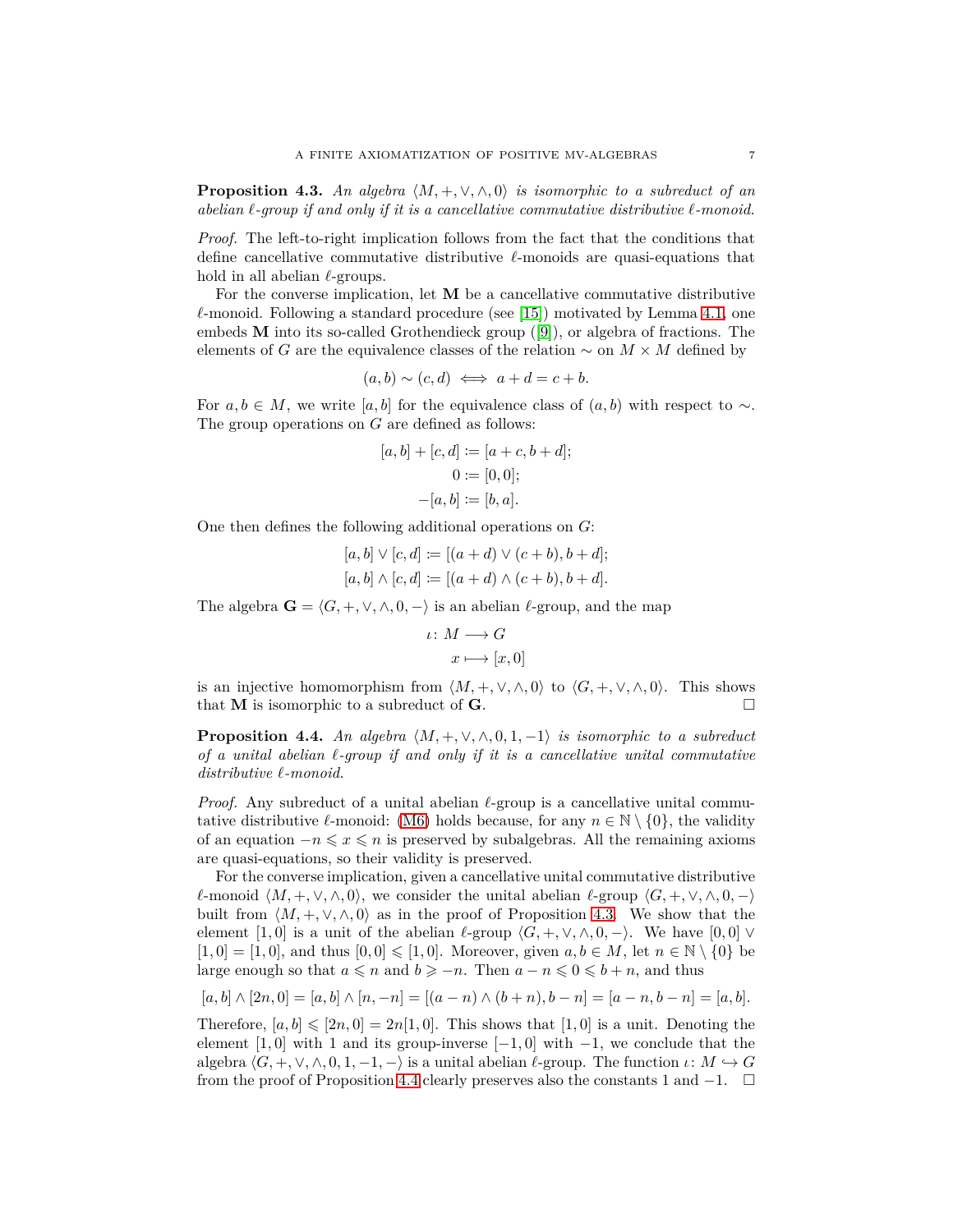**Proposition 4.3.** An algebra  $\langle M, +, \vee, \wedge, 0 \rangle$  is isomorphic to a subreduct of an *abelian ℓ-group if and only if it is a cancellative commutative distributive ℓ-monoid.*

*Proof.* The left-to-right implication follows from the fact that the conditions that define cancellative commutative distributive *ℓ*-monoids are quasi-equations that hold in all abelian *ℓ*-groups.

For the converse implication, let **M** be a cancellative commutative distributive *ℓ*-monoid. Following a standard procedure (see [\[15\]](#page-11-9)) motivated by Lemma [4.1,](#page-5-2) one embeds **M** into its so-called Grothendieck group ([\[9\]](#page-11-10)), or algebra of fractions. The elements of *G* are the equivalence classes of the relation  $\sim$  on  $M \times M$  defined by

$$
(a,b) \sim (c,d) \iff a+d = c+b.
$$

For  $a, b \in M$ , we write [a, b] for the equivalence class of  $(a, b)$  with respect to  $\sim$ . The group operations on *G* are defined as follows:

$$
[a, b] + [c, d] := [a + c, b + d];
$$
  

$$
0 := [0, 0];
$$
  

$$
-[a, b] := [b, a].
$$

One then defines the following additional operations on *G*:

$$
[a, b] \vee [c, d] := [(a + d) \vee (c + b), b + d];
$$
  

$$
[a, b] \wedge [c, d] := [(a + d) \wedge (c + b), b + d].
$$

The algebra  $\mathbf{G} = \langle G, +, \vee, \wedge, 0, - \rangle$  is an abelian *ℓ*-group, and the map

$$
\iota \colon M \longrightarrow G
$$

$$
x \longmapsto [x, 0]
$$

is an injective homomorphism from  $\langle M, +, \vee, \wedge, 0 \rangle$  to  $\langle G, +, \vee, \wedge, 0 \rangle$ . This shows that **M** is isomorphic to a subreduct of **G**.

<span id="page-6-0"></span>**Proposition 4.4.** An algebra  $\langle M, +, \vee, \wedge, 0, 1, -1 \rangle$  *is isomorphic to a subreduct of a unital abelian ℓ-group if and only if it is a cancellative unital commutative distributive ℓ-monoid.*

*Proof.* Any subreduct of a unital abelian *ℓ*-group is a cancellative unital commutative distributive  $\ell$ -monoid: [\(M6\)](#page-4-2) holds because, for any  $n \in \mathbb{N} \setminus \{0\}$ , the validity of an equation  $-n \leq x \leq n$  is preserved by subalgebras. All the remaining axioms are quasi-equations, so their validity is preserved.

For the converse implication, given a cancellative unital commutative distributive *ℓ*-monoid  $\langle M, +, \vee, \wedge, 0 \rangle$ , we consider the unital abelian *ℓ*-group  $\langle G, +, \vee, \wedge, 0, - \rangle$ built from  $\langle M, +, \vee, \wedge, 0 \rangle$  as in the proof of Proposition [4.3.](#page-5-3) We show that the element [1,0] is a unit of the abelian  $\ell$ -group  $\langle G, +, \vee, \wedge, 0, - \rangle$ . We have [0,0]  $\vee$  $[1,0] = [1,0]$ , and thus  $[0,0] \leq [1,0]$ . Moreover, given  $a, b \in M$ , let  $n \in \mathbb{N} \setminus \{0\}$  be large enough so that  $a \leq n$  and  $b \geq -n$ . Then  $a - n \leq 0 \leq b + n$ , and thus

$$
[a, b] \wedge [2n, 0] = [a, b] \wedge [n, -n] = [(a - n) \wedge (b + n), b - n] = [a - n, b - n] = [a, b].
$$

<span id="page-6-1"></span>Therefore,  $[a, b] \leq 2n, 0] = 2n[1, 0]$ . This shows that  $[1, 0]$  is a unit. Denoting the element  $[1, 0]$  with 1 and its group-inverse  $[-1, 0]$  with  $-1$ , we conclude that the algebra  $\langle G, +, \vee, \wedge, 0, 1, -1, - \rangle$  is a unital abelian  $\ell$ -group. The function  $\iota: M \hookrightarrow G$ from the proof of Proposition [4.4](#page-6-0) clearly preserves also the constants 1 and  $-1$ .  $\Box$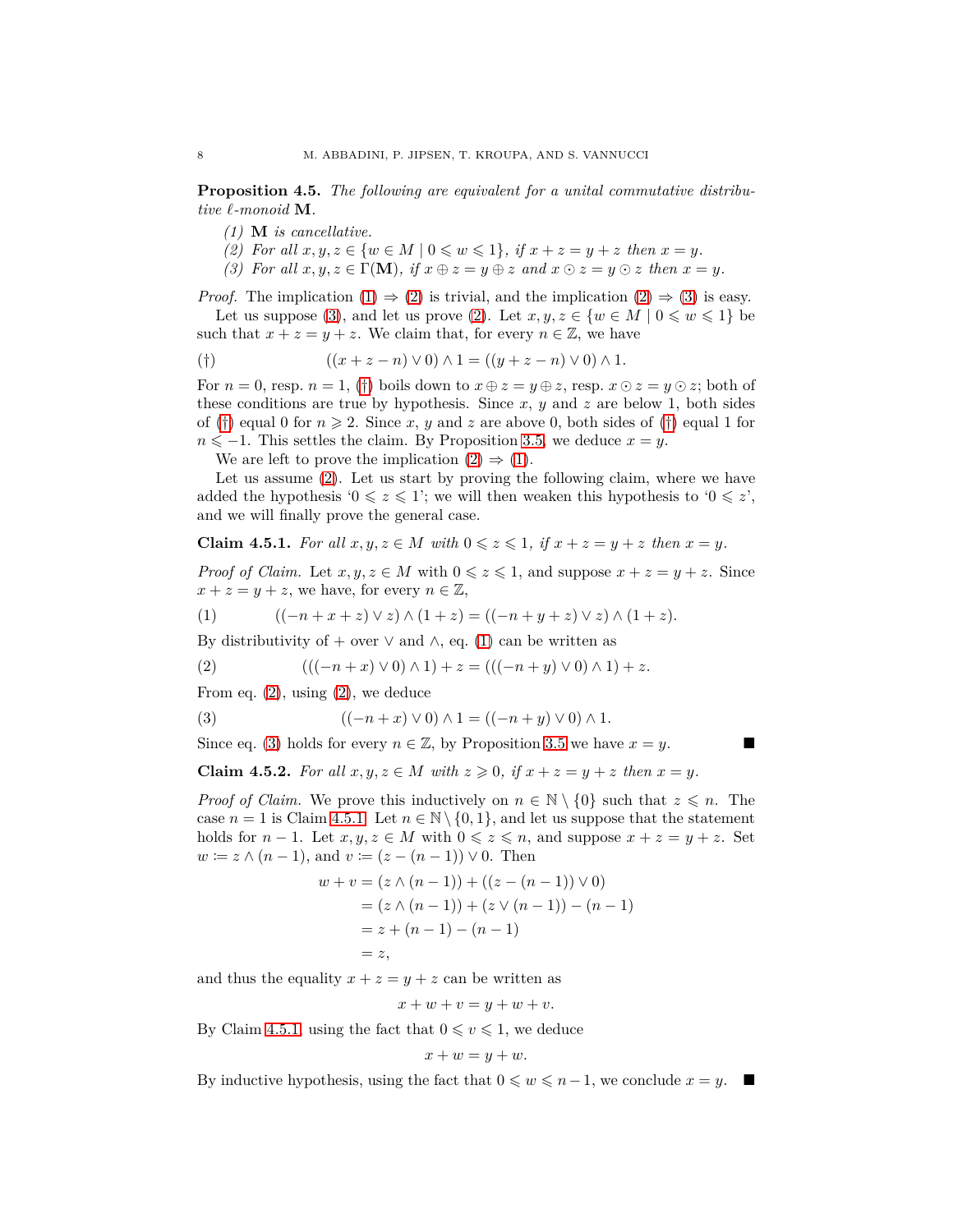<span id="page-7-0"></span>**Proposition 4.5.** *The following are equivalent for a unital commutative distributive ℓ-monoid* **M***.*

- <span id="page-7-1"></span>*(1)* **M** *is cancellative.*
- <span id="page-7-2"></span>*(2)* For all  $x, y, z \in \{w \in M \mid 0 \leq w \leq 1\}, \text{ if } x + z = y + z \text{ then } x = y.$
- *(3)* For all  $x, y, z \in \Gamma(\mathbf{M})$ , if  $x \oplus z = y \oplus z$  and  $x \odot z = y \odot z$  then  $x = y$ .

*Proof.* The implication  $(1) \Rightarrow (2)$  $(1) \Rightarrow (2)$  is trivial, and the implication  $(2) \Rightarrow (3)$  $(2) \Rightarrow (3)$  is easy.

Let us suppose [\(3\)](#page-7-2), and let us prove [\(2\)](#page-7-1). Let  $x, y, z \in \{w \in M \mid 0 \leq w \leq 1\}$  be such that  $x + z = y + z$ . We claim that, for every  $n \in \mathbb{Z}$ , we have

<span id="page-7-3"></span>(†) 
$$
((x + z - n) \vee 0) \wedge 1 = ((y + z - n) \vee 0) \wedge 1.
$$

For  $n = 0$ , resp.  $n = 1$ , ([†](#page-7-3)) boils down to  $x \oplus z = y \oplus z$ , resp.  $x \odot z = y \odot z$ ; both of these conditions are true by hypothesis. Since *x*, *y* and *z* are below 1, both sides of ([†](#page-7-3)) equal 0 for  $n \ge 2$ . Since x, y and z are above 0, both sides of (†) equal 1 for  $n \le -1$ . This settles the claim. By Proposition [3.5,](#page-4-0) we deduce  $x = y$ .

We are left to prove the implication  $(2) \Rightarrow (1)$  $(2) \Rightarrow (1)$ .

Let us assume [\(2\)](#page-7-1). Let us start by proving the following claim, where we have added the hypothesis ' $0 \leq z \leq 1$ '; we will then weaken this hypothesis to ' $0 \leq z'$ ', and we will finally prove the general case.

<span id="page-7-7"></span>**Claim 4.5.1.** For all  $x, y, z \in M$  with  $0 \leq z \leq 1$ , if  $x + z = y + z$  then  $x = y$ .

*Proof of Claim.* Let  $x, y, z \in M$  with  $0 \leq z \leq 1$ , and suppose  $x + z = y + z$ . Since  $x + z = y + z$ , we have, for every  $n \in \mathbb{Z}$ ,

<span id="page-7-4"></span>(1) 
$$
((-n+x+z) \vee z) \wedge (1+z) = ((-n+y+z) \vee z) \wedge (1+z).
$$

By distributivity of + over  $\vee$  and  $\wedge$ , eq. [\(1\)](#page-7-4) can be written as

<span id="page-7-5"></span>(2) 
$$
(((-n+x)\vee 0)\wedge 1) + z = (((-n+y)\vee 0)\wedge 1) + z.
$$

<span id="page-7-6"></span>From eq.  $(2)$ , using  $(2)$ , we deduce

(3) 
$$
((-n+x) \vee 0) \wedge 1 = ((-n+y) \vee 0) \wedge 1.
$$

<span id="page-7-8"></span>Since eq. [\(3\)](#page-7-6) holds for every  $n \in \mathbb{Z}$ , by Proposition [3.5](#page-4-0) we have  $x = y$ .

**Claim 4.5.2.** For all  $x, y, z \in M$  with  $z \ge 0$ , if  $x + z = y + z$  then  $x = y$ .

*Proof of Claim.* We prove this inductively on  $n \in \mathbb{N} \setminus \{0\}$  such that  $z \leq n$ . The case  $n = 1$  is Claim [4.5.1.](#page-7-7) Let  $n \in \mathbb{N} \setminus \{0, 1\}$ , and let us suppose that the statement holds for  $n-1$ . Let  $x, y, z \in M$  with  $0 \leq z \leq n$ , and suppose  $x + z = y + z$ . Set *w* := *z* ∧ (*n* − 1), and *v* := (*z* − (*n* − 1)) ∨ 0. Then

$$
w + v = (z \wedge (n - 1)) + ((z - (n - 1)) \vee 0)
$$
  
= (z \wedge (n - 1)) + (z \vee (n - 1)) - (n - 1)  
= z + (n - 1) - (n - 1)  
= z,

and thus the equality  $x + z = y + z$  can be written as

$$
x + w + v = y + w + v.
$$

By Claim [4.5.1,](#page-7-7) using the fact that  $0 \le v \le 1$ , we deduce

$$
x + w = y + w.
$$

By inductive hypothesis, using the fact that  $0 \leq w \leq n-1$ , we conclude  $x = y$ .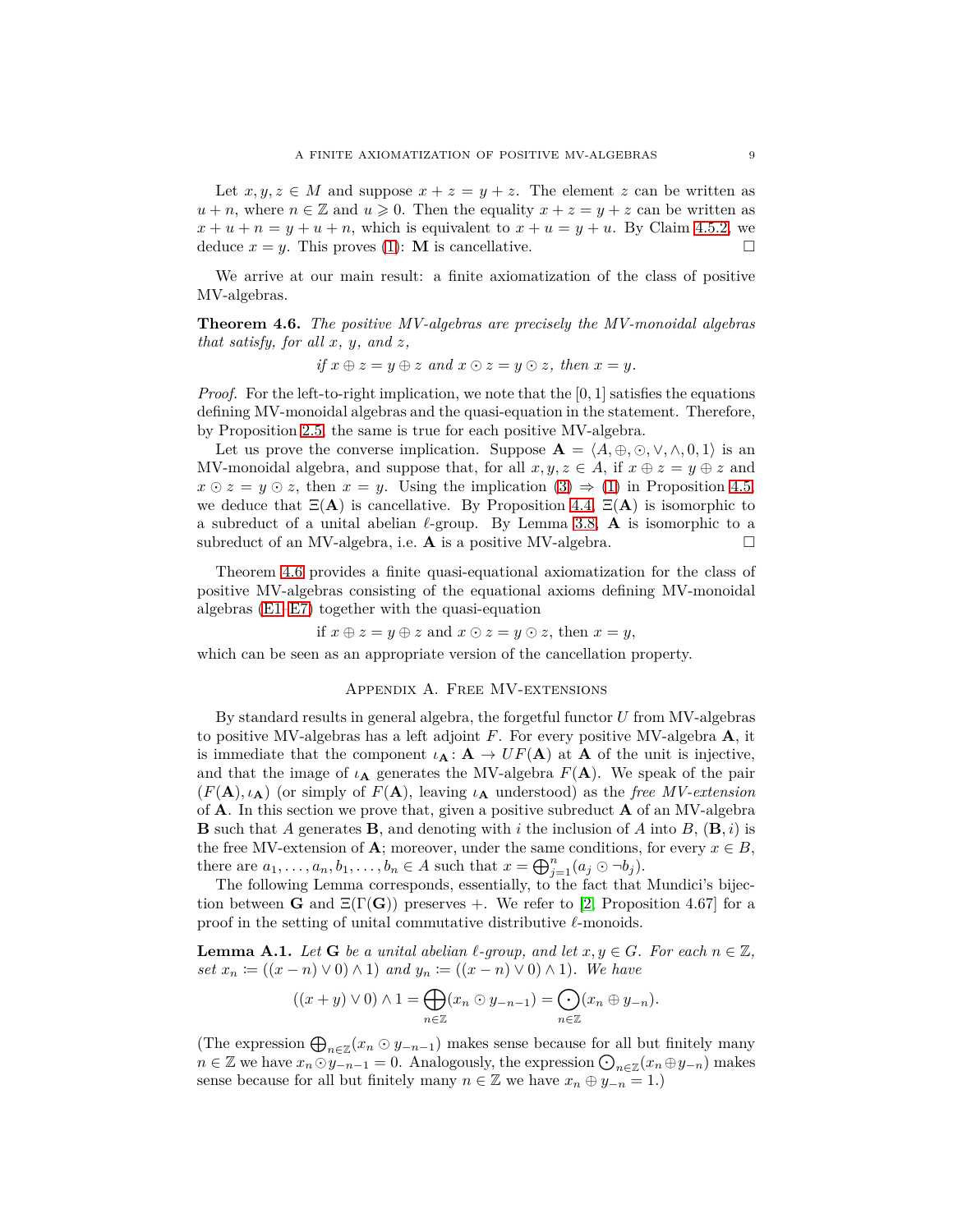Let  $x, y, z \in M$  and suppose  $x + z = y + z$ . The element z can be written as  $u + n$ , where  $n \in \mathbb{Z}$  and  $u \geqslant 0$ . Then the equality  $x + z = y + z$  can be written as  $x + u + n = y + u + n$ , which is equivalent to  $x + u = y + u$ . By Claim [4.5.2,](#page-7-8) we deduce  $x = y$ . This proves [\(1\)](#page-7-0): **M** is cancellative.

<span id="page-8-0"></span>We arrive at our main result: a finite axiomatization of the class of positive MV-algebras.

**Theorem 4.6.** *The positive MV-algebras are precisely the MV-monoidal algebras that satisfy, for all x, y, and z,*

if 
$$
x \oplus z = y \oplus z
$$
 and  $x \odot z = y \odot z$ , then  $x = y$ .

*Proof.* For the left-to-right implication, we note that the  $[0, 1]$  satisfies the equations defining MV-monoidal algebras and the quasi-equation in the statement. Therefore, by Proposition [2.5,](#page-2-0) the same is true for each positive MV-algebra.

Let us prove the converse implication. Suppose  $\mathbf{A} = \langle A, \oplus, \odot, \vee, \wedge, 0, 1 \rangle$  is an MV-monoidal algebra, and suppose that, for all  $x, y, z \in A$ , if  $x \oplus z = y \oplus z$  and  $x \odot z = y \odot z$ , then  $x = y$ . Using the implication  $(3) \Rightarrow (1)$  $(3) \Rightarrow (1)$  in Proposition [4.5,](#page-6-1) we deduce that  $\Xi(A)$  is cancellative. By Proposition [4.4,](#page-6-0)  $\Xi(A)$  is isomorphic to a subreduct of a unital abelian *ℓ*-group. By Lemma [3.8,](#page-5-4) **A** is isomorphic to a subreduct of an MV-algebra, i.e.  $\bf{A}$  is a positive MV-algebra.  $\Box$ 

Theorem [4.6](#page-8-0) provides a finite quasi-equational axiomatization for the class of positive MV-algebras consisting of the equational axioms defining MV-monoidal algebras [\(E1](#page-3-0)[–E7\)](#page-3-1) together with the quasi-equation

if *x* ⊕ *z* = *y* ⊕ *z* and *x* ⊙ *z* = *y* ⊙ *z*, then *x* = *y*,

which can be seen as an appropriate version of the cancellation property.

#### Appendix A. Free MV-extensions

By standard results in general algebra, the forgetful functor *U* from MV-algebras to positive MV-algebras has a left adjoint *F*. For every positive MV-algebra **A**, it is immediate that the component  $\iota_{\mathbf{A}}: \mathbf{A} \to UF(\mathbf{A})$  at **A** of the unit is injective, and that the image of  $\iota_{\mathbf{A}}$  generates the MV-algebra  $F(\mathbf{A})$ . We speak of the pair  $(F(A), \iota_A)$  (or simply of  $F(A)$ , leaving  $\iota_A$  understood) as the *free MV-extension* of **A**. In this section we prove that, given a positive subreduct **A** of an MV-algebra **B** such that *A* generates **B**, and denoting with *i* the inclusion of *A* into *B*, (**B***, i*) is the free MV-extension of **A**; moreover, under the same conditions, for every  $x \in B$ , there are  $a_1, \ldots, a_n, b_1, \ldots, b_n \in A$  such that  $x = \bigoplus_{j=1}^n (a_j \odot \neg b_j)$ .

The following Lemma corresponds, essentially, to the fact that Mundici's bijection between **G** and  $\Xi(\Gamma(\mathbf{G}))$  preserves +. We refer to [\[2,](#page-11-8) Proposition 4.67] for a proof in the setting of unital commutative distributive *ℓ*-monoids.

<span id="page-8-1"></span>**Lemma A.1.** *Let* **G** *be a unital abelian*  $\ell$ -group, and let  $x, y \in G$ *. For each*  $n \in \mathbb{Z}$ *, set*  $x_n := ((x - n) \vee 0) \wedge 1)$  *and*  $y_n := ((x - n) \vee 0) \wedge 1)$ *. We have* 

$$
((x+y)\vee 0)\wedge 1=\bigoplus_{n\in\mathbb{Z}}(x_n\odot y_{-n-1})=\bigodot_{n\in\mathbb{Z}}(x_n\oplus y_{-n}).
$$

<span id="page-8-2"></span>(The expression  $\bigoplus_{n\in\mathbb{Z}} (x_n \odot y_{-n-1})$ ) makes sense because for all but finitely many  $n \in \mathbb{Z}$  we have  $x_n \odot y_{-n-1} = 0$ . Analogously, the expression  $\bigodot_{n \in \mathbb{Z}} (x_n \oplus y_{-n})$  makes sense because for all but finitely many  $n \in \mathbb{Z}$  we have  $x_n \oplus y_{-n} = 1$ .)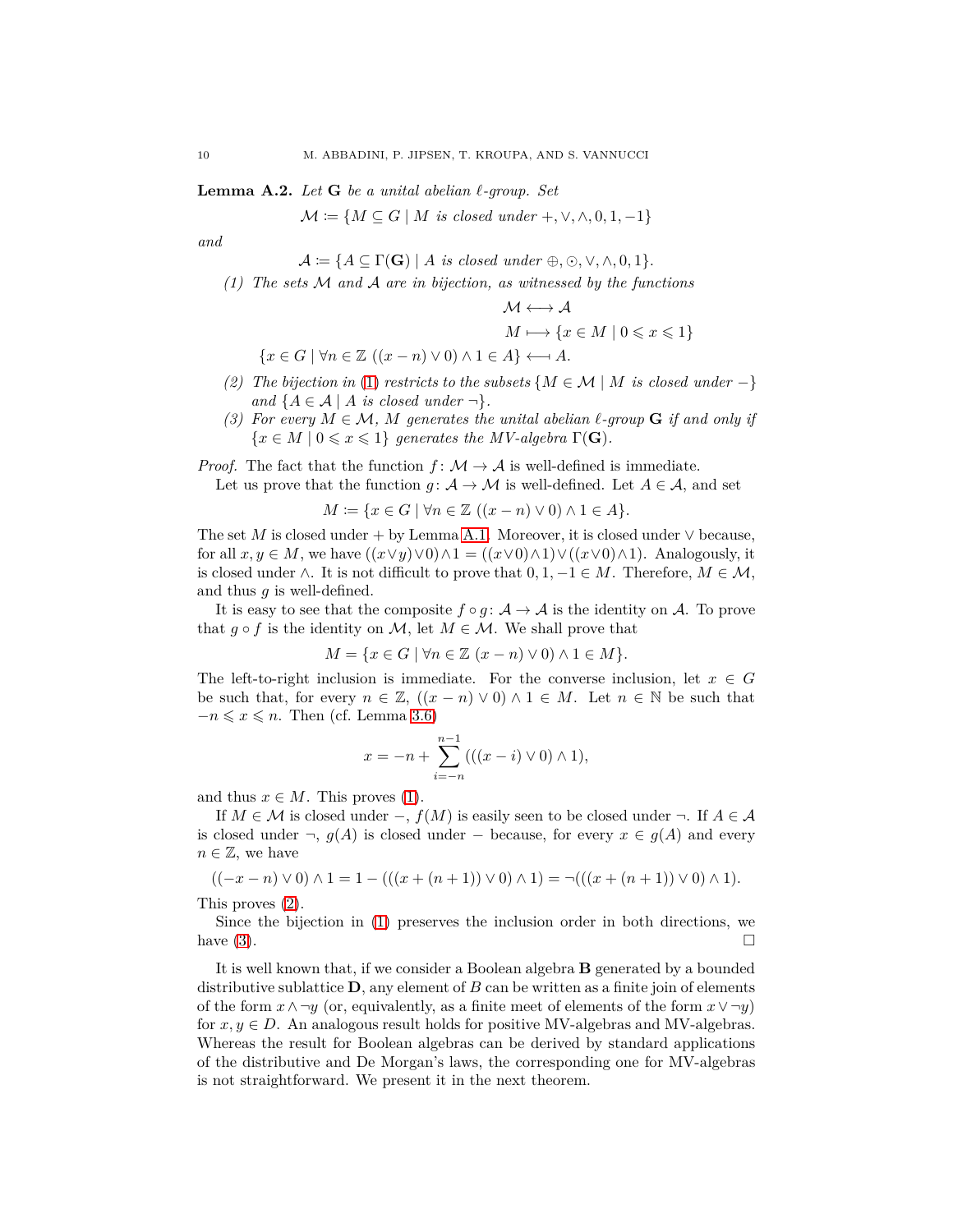**Lemma A.2.** *Let* **G** *be a unital abelian ℓ-group. Set*

 $\mathcal{M} \coloneqq \{ M \subseteq G \mid M \text{ is closed under } +, \vee, \wedge, 0, 1, -1 \}$ 

<span id="page-9-0"></span>*and*

 $\mathcal{A} \coloneqq \{A \subseteq \Gamma(\mathbf{G}) \mid A \text{ is closed under } \oplus, \odot, \vee, \wedge, 0, 1\}.$ 

*(1) The sets* M *and* A *are in bijection, as witnessed by the functions*

$$
\mathcal{M} \longleftrightarrow \mathcal{A}
$$

$$
M \longmapsto \{x \in M \mid 0 \leq x \leq 1\}
$$

$$
\{x \in G \mid \forall n \in \mathbb{Z} \ ((x - n) \lor 0) \land 1 \in A\} \longleftrightarrow A.
$$

- <span id="page-9-1"></span>*(2)* The bijection in [\(1\)](#page-9-0) *restricts to the subsets* { $M ∈ M | M$  *is closed under* −} *and*  $\{A \in \mathcal{A} \mid A \text{ is closed under } \neg\}.$
- <span id="page-9-2"></span>*(3)* For every  $M \in \mathcal{M}$ ,  $M$  generates the unital abelian  $\ell$ -group **G** *if and only if*  ${x \in M \mid 0 \leq x \leq 1}$  *generates the MV-algebra*  $\Gamma(G)$ *.*

*Proof.* The fact that the function  $f: \mathcal{M} \to \mathcal{A}$  is well-defined is immediate.

Let us prove that the function  $g: \mathcal{A} \to \mathcal{M}$  is well-defined. Let  $A \in \mathcal{A}$ , and set

$$
M \coloneqq \{ x \in G \mid \forall n \in \mathbb{Z} \ ((x - n) \lor 0) \land 1 \in A \}.
$$

The set *M* is closed under + by Lemma [A.1.](#page-8-1) Moreover, it is closed under  $\vee$  because, for all  $x, y \in M$ , we have  $((x \lor y) \lor 0) \land 1 = ((x \lor 0) \land 1) \lor ((x \lor 0) \land 1)$ . Analogously, it is closed under  $\wedge$ . It is not difficult to prove that  $0, 1, -1 \in M$ . Therefore,  $M \in \mathcal{M}$ , and thus *g* is well-defined.

It is easy to see that the composite  $f \circ q : A \to A$  is the identity on A. To prove that  $q \circ f$  is the identity on M, let  $M \in \mathcal{M}$ . We shall prove that

$$
M = \{ x \in G \mid \forall n \in \mathbb{Z} \ (x - n) \vee 0) \wedge 1 \in M \}.
$$

The left-to-right inclusion is immediate. For the converse inclusion, let  $x \in G$ be such that, for every  $n \in \mathbb{Z}$ ,  $((x - n) \vee 0) \wedge 1 \in M$ . Let  $n \in \mathbb{N}$  be such that  $-n \leqslant x \leqslant n$ . Then (cf. Lemma [3.6\)](#page-4-3)

$$
x = -n + \sum_{i=-n}^{n-1} (((x - i) \vee 0) \wedge 1),
$$

and thus  $x \in M$ . This proves [\(1\)](#page-9-0).

If  $M \in \mathcal{M}$  is closed under  $-, f(M)$  is easily seen to be closed under  $\neg$ . If  $A \in \mathcal{A}$ is closed under  $\neg$ , *g*(*A*) is closed under − because, for every *x* ∈ *g*(*A*) and every  $n \in \mathbb{Z}$ , we have

$$
((-x - n) \vee 0) \wedge 1 = 1 - (((x + (n + 1)) \vee 0) \wedge 1) = \neg (((x + (n + 1)) \vee 0) \wedge 1).
$$

This proves [\(2\)](#page-9-1).

Since the bijection in [\(1\)](#page-9-0) preserves the inclusion order in both directions, we have  $(3)$ .

It is well known that, if we consider a Boolean algebra **B** generated by a bounded distributive sublattice **D**, any element of *B* can be written as a finite join of elements of the form  $x \wedge \neg y$  (or, equivalently, as a finite meet of elements of the form  $x \vee \neg y$ ) for  $x, y \in D$ . An analogous result holds for positive MV-algebras and MV-algebras. Whereas the result for Boolean algebras can be derived by standard applications of the distributive and De Morgan's laws, the corresponding one for MV-algebras is not straightforward. We present it in the next theorem.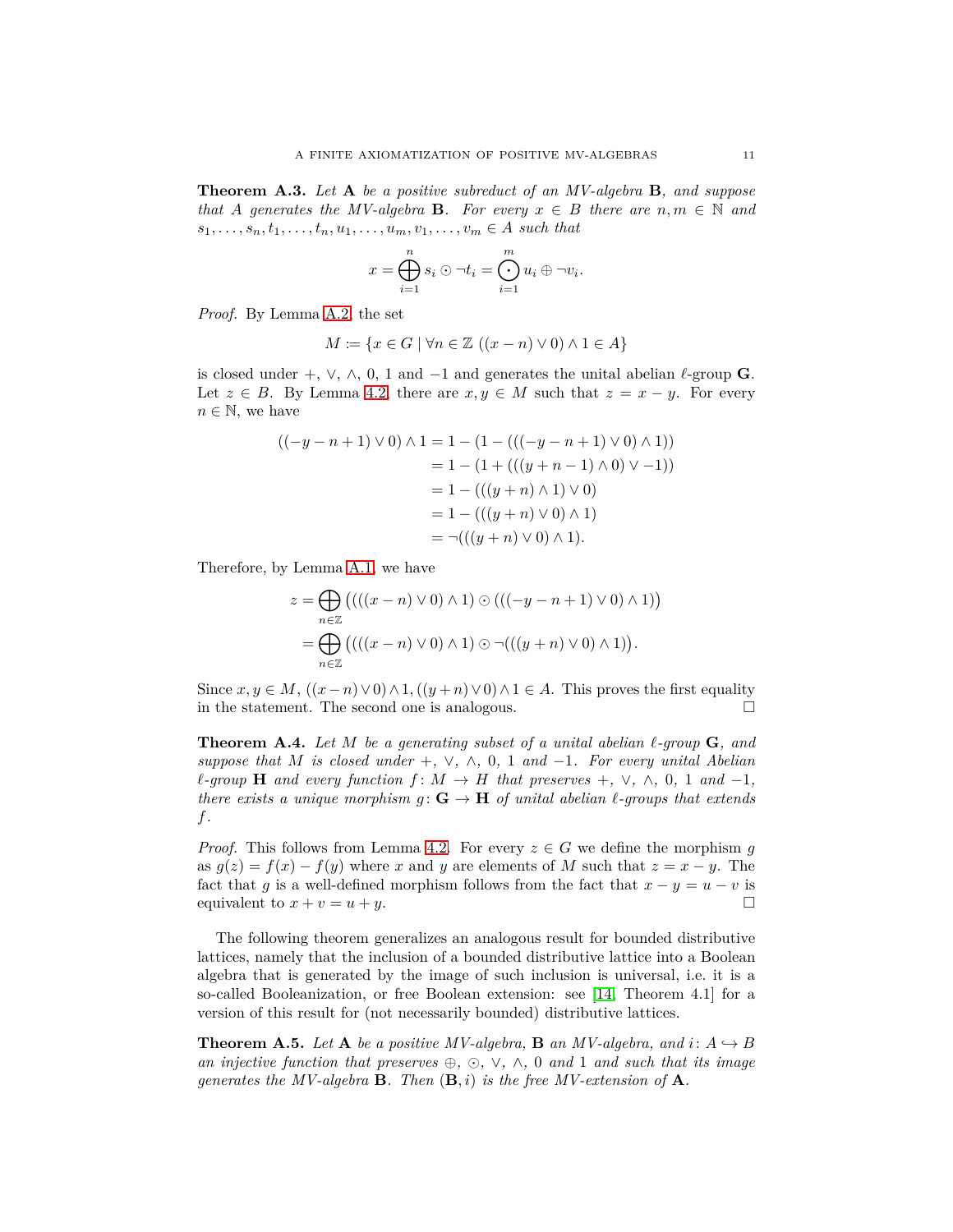**Theorem A.3.** *Let* **A** *be a positive subreduct of an MV-algebra* **B***, and suppose that A* generates the MV-algebra **B***.* For every  $x \in B$  there are  $n, m \in \mathbb{N}$  and  $s_1, \ldots, s_n, t_1, \ldots, t_n, u_1, \ldots, u_m, v_1, \ldots, v_m \in A$  such that

$$
x = \bigoplus_{i=1}^{n} s_i \odot \neg t_i = \bigodot_{i=1}^{m} u_i \oplus \neg v_i.
$$

*Proof.* By Lemma [A.2,](#page-8-2) the set

$$
M \coloneqq \{ x \in G \mid \forall n \in \mathbb{Z} \ ((x - n) \lor 0) \land 1 \in A \}
$$

is closed under  $+$ ,  $\vee$ ,  $\wedge$ , 0, 1 and  $-1$  and generates the unital abelian  $\ell$ -group **G**. Let  $z \in B$ . By Lemma [4.2,](#page-5-5) there are  $x, y \in M$  such that  $z = x - y$ . For every  $n \in \mathbb{N}$ , we have

$$
((-y - n + 1) \vee 0) \wedge 1 = 1 - (1 - ((((-y - n + 1) \vee 0) \wedge 1))
$$
  
= 1 - (1 + (((y + n - 1) \wedge 0) \vee -1))  
= 1 - (((y + n) \wedge 1) \vee 0)  
= 1 - (((y + n) \vee 0) \wedge 1)  
= \neg (((y + n) \vee 0) \wedge 1).

Therefore, by Lemma [A.1,](#page-8-1) we have

$$
z = \bigoplus_{n \in \mathbb{Z}} \left( \left( \left( (x - n) \vee 0 \right) \wedge 1 \right) \odot \left( \left( (-y - n + 1) \vee 0 \right) \wedge 1 \right) \right)
$$

$$
= \bigoplus_{n \in \mathbb{Z}} \left( \left( \left( (x - n) \vee 0 \right) \wedge 1 \right) \odot \neg \left( \left( (y + n) \vee 0 \right) \wedge 1 \right) \right).
$$

Since  $x, y \in M$ ,  $((x - n) \vee 0) \wedge 1$ ,  $((y + n) \vee 0) \wedge 1 \in A$ . This proves the first equality in the statement. The second one is analogous.

<span id="page-10-0"></span>**Theorem A.4.** *Let M be a generating subset of a unital abelian ℓ-group* **G***, and suppose that M is closed under* +*,* ∨*,* ∧*,* 0*,* 1 *and* −1*. For every unital Abelian*  $\ell$ -group **H** and every function  $f: M \to H$  that preserves  $+$ ,  $\vee$ ,  $\wedge$ , 0, 1 and  $-1$ , *there exists a unique morphism*  $g: \mathbf{G} \to \mathbf{H}$  *of unital abelian*  $\ell$ *-groups that extends f.*

*Proof.* This follows from Lemma [4.2.](#page-5-5) For every  $z \in G$  we define the morphism g as  $g(z) = f(x) - f(y)$  where *x* and *y* are elements of *M* such that  $z = x - y$ . The fact that *g* is a well-defined morphism follows from the fact that  $x - y = u - v$  is equivalent to  $x + v = u + y$ .

The following theorem generalizes an analogous result for bounded distributive lattices, namely that the inclusion of a bounded distributive lattice into a Boolean algebra that is generated by the image of such inclusion is universal, i.e. it is a so-called Booleanization, or free Boolean extension: see [\[14,](#page-11-11) Theorem 4.1] for a version of this result for (not necessarily bounded) distributive lattices.

**Theorem A.5.** Let  $\mathbf{A}$  be a positive MV-algebra,  $\mathbf{B}$  an MV-algebra, and  $i: A \hookrightarrow B$ *an injective function that preserves* ⊕*,* ⊙*,* ∨*,* ∧*,* 0 *and* 1 *and such that its image generates the MV-algebra* **B***. Then*  $(\mathbf{B}, i)$  *is the free MV-extension of* **A***.*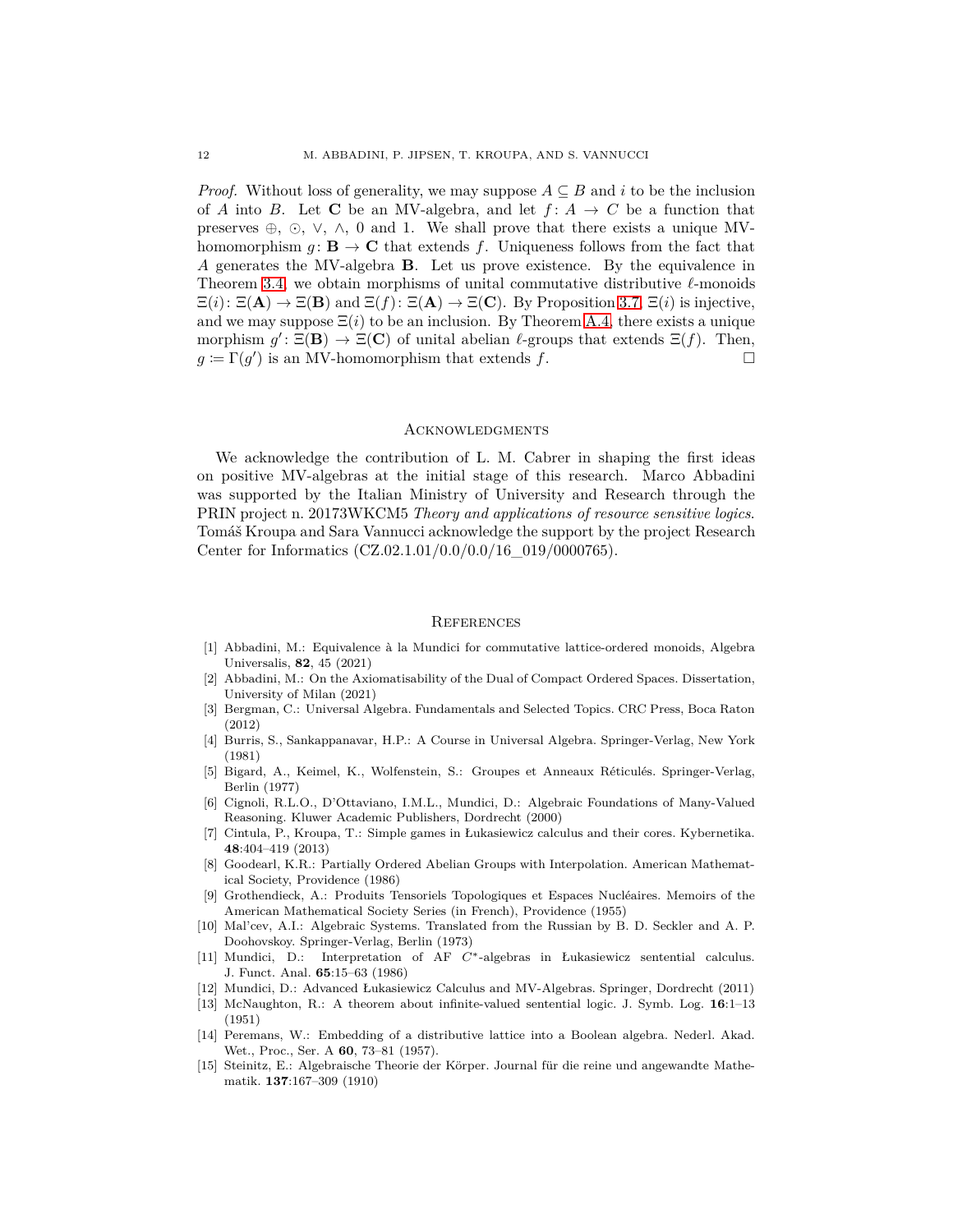*Proof.* Without loss of generality, we may suppose  $A \subseteq B$  and *i* to be the inclusion of *A* into *B*. Let **C** be an MV-algebra, and let  $f: A \rightarrow C$  be a function that preserves  $\oplus$ ,  $\odot$ ,  $\vee$ ,  $\wedge$ , 0 and 1. We shall prove that there exists a unique MVhomomorphism  $g: \mathbf{B} \to \mathbf{C}$  that extends f. Uniqueness follows from the fact that *A* generates the MV-algebra **B**. Let us prove existence. By the equivalence in Theorem [3.4,](#page-4-4) we obtain morphisms of unital commutative distributive *ℓ*-monoids  $\Xi(i): \Xi(\mathbf{A}) \to \Xi(\mathbf{B})$  and  $\Xi(f): \Xi(\mathbf{A}) \to \Xi(\mathbf{C})$ . By Proposition [3.7,](#page-4-1)  $\Xi(i)$  is injective, and we may suppose  $\Xi(i)$  to be an inclusion. By Theorem [A.4,](#page-10-0) there exists a unique morphism  $g'$ :  $\Xi(\mathbf{B}) \to \Xi(\mathbf{C})$  of unital abelian  $\ell$ -groups that extends  $\Xi(f)$ . Then,  $g \coloneqq \Gamma(g')$  is an MV-homomorphism that extends *f*.

#### **ACKNOWLEDGMENTS**

We acknowledge the contribution of L. M. Cabrer in shaping the first ideas on positive MV-algebras at the initial stage of this research. Marco Abbadini was supported by the Italian Ministry of University and Research through the PRIN project n. 20173WKCM5 *Theory and applications of resource sensitive logics*. Tomáš Kroupa and Sara Vannucci acknowledge the support by the project Research Center for Informatics (CZ.02.1.01/0.0/0.0/16 019/0000765).

## **REFERENCES**

- <span id="page-11-4"></span>[1] Abbadini, M.: Equivalence à la Mundici for commutative lattice-ordered monoids, Algebra Universalis, **82**, 45 (2021)
- <span id="page-11-8"></span>[2] Abbadini, M.: On the Axiomatisability of the Dual of Compact Ordered Spaces. Dissertation, University of Milan (2021)
- [3] Bergman, C.: Universal Algebra. Fundamentals and Selected Topics. CRC Press, Boca Raton (2012)
- [4] Burris, S., Sankappanavar, H.P.: A Course in Universal Algebra. Springer-Verlag, New York (1981)
- <span id="page-11-2"></span>[5] Bigard, A., Keimel, K., Wolfenstein, S.: Groupes et Anneaux Réticulés. Springer-Verlag, Berlin (1977)
- <span id="page-11-0"></span>[6] Cignoli, R.L.O., D'Ottaviano, I.M.L., Mundici, D.: Algebraic Foundations of Many-Valued Reasoning. Kluwer Academic Publishers, Dordrecht (2000)
- <span id="page-11-6"></span>[7] Cintula, P., Kroupa, T.: Simple games in Łukasiewicz calculus and their cores. Kybernetika. **48**:404–419 (2013)
- <span id="page-11-3"></span>[8] Goodearl, K.R.: Partially Ordered Abelian Groups with Interpolation. American Mathematical Society, Providence (1986)
- <span id="page-11-10"></span>[9] Grothendieck, A.: Produits Tensoriels Topologiques et Espaces Nucléaires. Memoirs of the American Mathematical Society Series (in French), Providence (1955)
- [10] Mal'cev, A.I.: Algebraic Systems. Translated from the Russian by B. D. Seckler and A. P. Doohovskoy. Springer-Verlag, Berlin (1973)
- <span id="page-11-7"></span>[11] Mundici, D.: Interpretation of AF *C*∗-algebras in Łukasiewicz sentential calculus. J. Funct. Anal. **65**:15–63 (1986)
- <span id="page-11-5"></span><span id="page-11-1"></span>[12] Mundici, D.: Advanced Łukasiewicz Calculus and MV-Algebras. Springer, Dordrecht (2011)
- [13] McNaughton, R.: A theorem about infinite-valued sentential logic. J. Symb. Log. **16**:1–13 (1951)
- <span id="page-11-11"></span>[14] Peremans, W.: Embedding of a distributive lattice into a Boolean algebra. Nederl. Akad. Wet., Proc., Ser. A **60**, 73–81 (1957).
- <span id="page-11-9"></span>[15] Steinitz, E.: Algebraische Theorie der Körper. Journal für die reine und angewandte Mathematik. **137**:167–309 (1910)